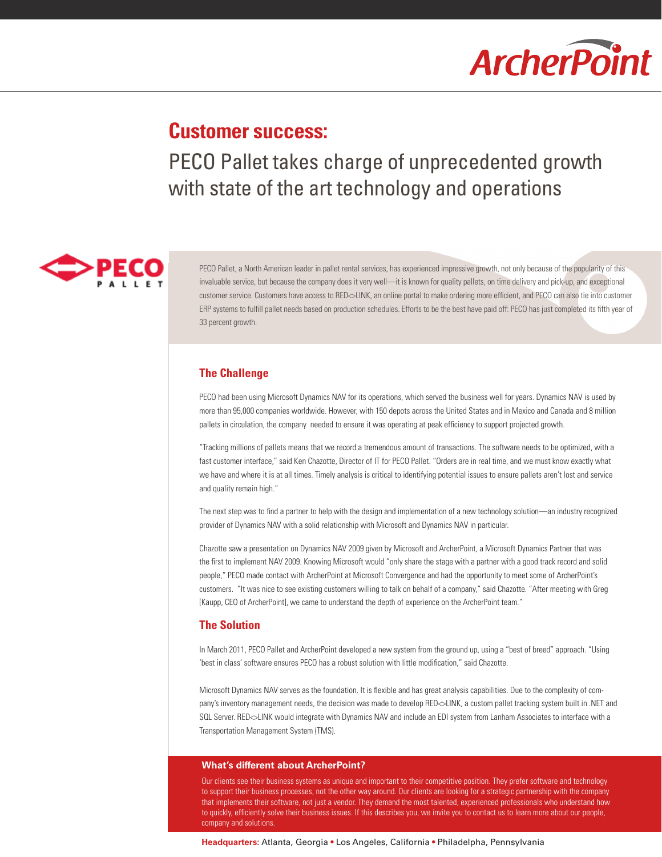# **ArcherPoint**

## **Customer success:**

PECO Pallet takes charge of unprecedented growth with state of the art technology and operations



PECO Pallet, a North American leader in pallet rental services, has experienced impressive growth, not only because of the popularity of this invaluable service, but because the company does it very well—it is known for quality pallets, on time delivery and pick-up, and exceptional customer service. Customers have access to RED<>LINK, an online portal to make ordering more efficient, and PECO can also tie into customer ERP systems to fulfill pallet needs based on production schedules. Efforts to be the best have paid off: PECO has just completed its fifth year of 33 percent growth.

### **The Challenge**

PECO had been using Microsoft Dynamics NAV for its operations, which served the business well for years. Dynamics NAV is used by more than 95,000 companies worldwide. However, with 150 depots across the United States and in Mexico and Canada and 8 million pallets in circulation, the company needed to ensure it was operating at peak efficiency to support projected growth.

"Tracking millions of pallets means that we record a tremendous amount of transactions. The software needs to be optimized, with a fast customer interface," said Ken Chazotte, Director of IT for PECO Pallet. "Orders are in real time, and we must know exactly what we have and where it is at all times. Timely analysis is critical to identifying potential issues to ensure pallets aren't lost and service and quality remain high."

The next step was to find a partner to help with the design and implementation of a new technology solution—an industry recognized provider of Dynamics NAV with a solid relationship with Microsoft and Dynamics NAV in particular.

Chazotte saw a presentation on Dynamics NAV 2009 given by Microsoft and ArcherPoint, a Microsoft Dynamics Partner that was the first to implement NAV 2009. Knowing Microsoft would "only share the stage with a partner with a good track record and solid people," PECO made contact with ArcherPoint at Microsoft Convergence and had the opportunity to meet some of ArcherPoint's customers. "It was nice to see existing customers willing to talk on behalf of a company," said Chazotte. "After meeting with Greg [Kaupp, CEO of ArcherPoint], we came to understand the depth of experience on the ArcherPoint team."

#### **The Solution**

In March 2011, PECO Pallet and ArcherPoint developed a new system from the ground up, using a "best of breed" approach. "Using 'best in class' software ensures PECO has a robust solution with little modification," said Chazotte.

Microsoft Dynamics NAV serves as the foundation. It is flexible and has great analysis capabilities. Due to the complexity of company's inventory management needs, the decision was made to develop RED<>LINK, a custom pallet tracking system built in .NET and SQL Server. RED<>LINK would integrate with Dynamics NAV and include an EDI system from Lanham Associates to interface with a Transportation Management System (TMS).

#### **What's different about ArcherPoint?**

Our clients see their business systems as unique and important to their competitive position. They prefer software and technology to support their business processes, not the other way around. Our clients are looking for a strategic partnership with the company that implements their software, not just a vendor. They demand the most talented, experienced professionals who understand how to quickly, efficiently solve their business issues. If this describes you, we invite you to contact us to learn more about our people, company and solutions.

**Headquarters:** Atlanta, Georgia • Los Angeles, California • Philadelpha, Pennsylvania